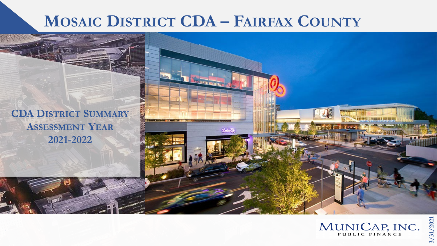# **MOSAIC DISTRICT CDA – FAIRFAX COUNTY**

 $2 - 3$ 

**CDA DISTRICT SUMMARY ASSESSMENT YEAR 2021-2022**



**3/31/2021**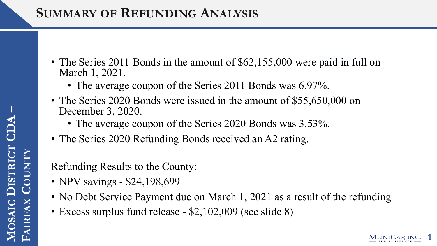## **SUMMARY OF REFUNDING ANALYSIS**

- The Series 2011 Bonds in the amount of \$62,155,000 were paid in full on March 1, 2021.
	- The average coupon of the Series 2011 Bonds was 6.97%.
- The Series 2020 Bonds were issued in the amount of \$55,650,000 on December 3, 2020.
	- The average coupon of the Series 2020 Bonds was 3.53%.
- The Series 2020 Refunding Bonds received an A2 rating.

Refunding Results to the County:

- NPV savings \$24,198,699
- No Debt Service Payment due on March 1, 2021 as a result of the refunding

**1**

• Excess surplus fund release - \$2,102,009 (see slide 8)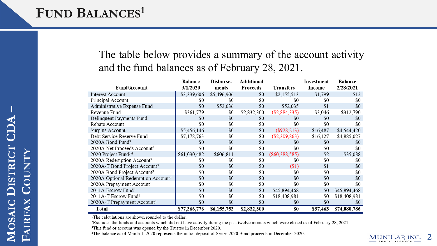## FUND **BALANCES<sup>1</sup>**

### The table below provides a summary of the account activity and the fund balances as of February 28, 2021.

|                                                | Balance      | Disburse-   | Additional  |                  | Investment | <b>Balance</b> |
|------------------------------------------------|--------------|-------------|-------------|------------------|------------|----------------|
| <b>Fund/Account</b>                            | 3/1/2020     | ments       | Proceeds    | <b>Transfers</b> | Income     | 2/28/2021      |
| <b>Interest Account</b>                        | \$3,339,606  | \$5,496,906 | \$0         | \$2,155,513      | \$1,799    | \$12           |
| Principal Account                              | \$0          | \$0         | \$0         | \$0              | \$0        | \$0            |
| Administrative Expense Fund                    | \$0          | \$52,036    | \$0         | \$52,035         | \$1        | \$0            |
| Revenue Fund                                   | \$361,779    | \$0         | \$2,832,300 | (\$2,884,335)    | \$3,046    | \$312,790      |
| Delinquent Payments Fund                       | \$0          | \$0         | \$0         | \$0              | \$0        | \$0            |
| Rebate Account                                 | \$0          | \$0         | \$0         | \$0              | \$0        | \$0            |
| Surplus Account                                | \$5,456,146  | \$0         | \$0         | $(\$928,213)$    | \$16,487   | \$4,544,420    |
| Debt Service Reserve Fund                      | \$7,178,763  | \$0         | \$0         | (\$2,309,863)    | \$16,127   | \$4,885,027    |
| 2020A Bond Fund <sup>3</sup>                   | \$0          | \$0         | \$0         | \$0              | \$0        | \$0            |
| 2020A Net Proceeds Account <sup>3</sup>        | \$0          | \$0         | \$0         | \$0              | \$0        | \$0            |
| 2020 Project Fund <sup>3,4</sup>               | \$61,030,482 | \$606,811   | \$0         | (S60, 388, 585)  | \$2        | \$35,088       |
| 2020A Redemption Account <sup>3</sup>          | \$0          | \$0         | \$0         | \$0              | \$0        | \$0            |
| 2020A-T Bond Project Account <sup>3</sup>      | \$0          | \$0         | \$0         | $($ \$1)         | \$1        | \$0            |
| 2020A Bond Project Account <sup>3</sup>        | \$0          | \$0         | \$0         | \$0              | \$0        | \$0            |
| 2020A Optional Redemption Account <sup>3</sup> | \$0          | \$0         | \$0         | \$0              | \$0        | \$0            |
| 2020A Prepayment Account <sup>3</sup>          | \$0          | \$0         | \$0         | \$0              | \$0        | \$0            |
| 2011A Escrow Fund <sup>3</sup>                 | \$0          | \$0         | \$0         | \$45,894,468     | \$0        | \$45,894,468   |
| 2011A-T Escrow Fund <sup>3</sup>               | \$0          | \$0         | \$0         | \$18,408,981     | \$0        | \$18,408,981   |
| 2020A-T Prepayment Account <sup>3</sup>        | \$0          | \$0         | \$0         | \$0              | \$0        | \$0            |
| <b>Total</b>                                   | \$77,366,776 | \$6,155,753 | \$2,832,300 | \$0              | \$37,463   | \$74,080,786   |

<sup>1</sup>The calculations are shown rounded to the dollar.

<sup>2</sup>Excludes the funds and accounts which did not have activity during the past twelve months which were closed as of February 28, 2021.

<sup>3</sup>This fund or account was opened by the Trustee in December 2020.

<sup>4</sup>The balance as of March 1, 2020 represents the initial deposit of Series 2020 Bond proceeds in December 2020.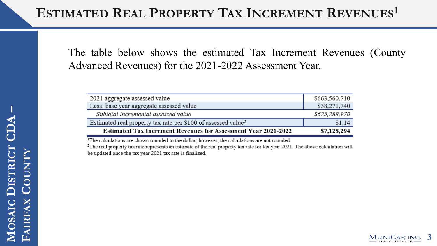The table below shows the estimated Tax Increment Revenues (County Advanced Revenues) for the 2021-2022 Assessment Year.

| 2021 aggregate assessed value                                             | \$663,560,710 |
|---------------------------------------------------------------------------|---------------|
| Less: base year aggregate assessed value                                  | \$38,271,740  |
| Subtotal incremental assessed value                                       | \$625,288,970 |
| Estimated real property tax rate per \$100 of assessed value <sup>2</sup> | \$1.14        |
| <b>Estimated Tax Increment Revenues for Assessment Year 2021-2022</b>     | \$7,128,294   |

<sup>1</sup>The calculations are shown rounded to the dollar; however, the calculations are not rounded.

<sup>2</sup>The real property tax rate represents an estimate of the real property tax rate for tax year 2021. The above calculation will be updated once the tax year 2021 tax rate is finalized.

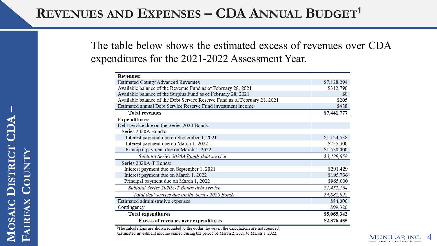### **REVENUES AND EXPENSES – CDA ANNUAL BUDGET1**

The table below shows the estimated excess of revenues over CDA expenditures for the 2021-2022 Assessment Year.

| <b>Revenues:</b>                                                           |             |
|----------------------------------------------------------------------------|-------------|
| <b>Estimated County Advanced Revenues</b>                                  | \$7,128,294 |
| Available balance of the Revenue Fund as of February 28, 2021              | \$312,790   |
| Available balance of the Surplus Fund as of February 28, 2021              | \$0         |
| Available balance of the Debt Service Reserve Fund as of February 28, 2021 | \$205       |
| Estimated annual Debt Service Reserve Fund investment income <sup>2</sup>  | \$488       |
| <b>Total revenues</b>                                                      | \$7,441,777 |
| <b>Expenditures:</b>                                                       |             |
| Debt service due on the Series 2020 Bonds:                                 |             |
| Series 2020A Bonds:                                                        |             |
| Interest payment due on September 1, 2021                                  | \$1,124,558 |
| Interest payment due on March 1, 2022                                      | \$755,300   |
| Principal payment due on March 1, 2022                                     | \$1,550,000 |
| Subtotal Series 2020A Bonds debt service                                   | \$3,429,858 |
| Series 2020A-T Bonds:                                                      |             |
| Interest payment due on September 1, 2021                                  | \$291,429   |
| Interest payment due on March 1, 2022                                      | \$195,736   |
| Principal payment due on March 1, 2022                                     | \$965,000   |
| Subtotal Series 2020A-T Bonds debt service                                 | \$1,452,164 |
| Total debt service due on the Series 2020 Bonds                            | \$4,882,022 |
| Estimated administrative expenses                                          | \$84,000    |
| Contingency                                                                | \$99,320    |
| <b>Total expenditures</b>                                                  | \$5,065,342 |
| <b>Excess of revenues over expenditures</b>                                | \$2,376,435 |

<sup>1</sup>The calculations are shown rounded to the dollar; however, the calculations are not rounded.

<sup>2</sup>Estimated investment income earned during the period of March 2, 2021 to March 1, 2022.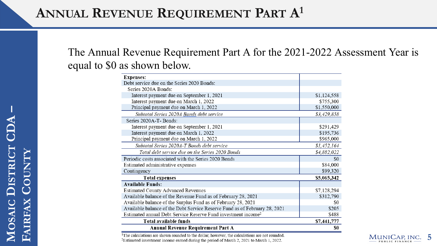### The Annual Revenue Requirement Part A for the 2021-2022 Assessment Year is equal to \$0 as shown below.

|                                                                            | \$0         |
|----------------------------------------------------------------------------|-------------|
| <b>Annual Revenue Requirement Part A</b>                                   |             |
| Total available funds                                                      | \$7,441,777 |
| Estimated annual Debt Service Reserve Fund investment income <sup>2</sup>  | \$488       |
| Available balance of the Debt Service Reserve Fund as of February 28, 2021 | \$205       |
| Available balance of the Surplus Fund as of February 28, 2021              | \$0         |
| Available balance of the Revenue Fund as of February 28, 2021              | \$312,790   |
| <b>Estimated County Advanced Revenues</b>                                  | \$7,128,294 |
| <b>Available Funds:</b>                                                    |             |
| <b>Total expenses</b>                                                      | \$5,065,342 |
| Contingency                                                                | \$99,320    |
| Estimated administrative expenses                                          | \$84,000    |
| Periodic costs associated with the Series 2020 Bonds                       | \$0         |
| Total debt service due on the Series 2020 Bonds                            | \$4,882,022 |
| Subtotal Series 2020A-T Bonds debt service                                 | \$1,452,164 |
| Principal payment due on March 1, 2022                                     | \$965,000   |
| Interest payment due on March 1, 2022                                      | \$195,736   |
| Interest payment due on September 1, 2021                                  | \$291,429   |
| Series 2020A-T- Bonds:                                                     |             |
| Subtotal Series 2020A Bonds debt service                                   | \$3,429,858 |
| Principal payment due on March 1, 2022                                     | \$1,550,000 |
| Interest payment due on March 1, 2022                                      | \$755,300   |
| Interest payment due on September 1, 2021                                  | \$1,124,558 |
| Series 2020A Bonds:                                                        |             |
| Debt service due on the Series 2020 Bonds:                                 |             |
| <b>Expenses:</b>                                                           |             |

The calculations are shown rounded to the dollar; however, the calculations are not rounded. <sup>2</sup>Estimated investment income earned during the period of March 2, 2021 to March 1, 2022.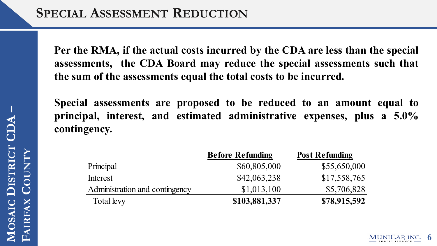**Per the RMA, if the actual costs incurred by the CDA are less than the special assessments, the CDA Board may reduce the special assessments such that the sum of the assessments equal the total costs to be incurred.**

**Special assessments are proposed to be reduced to an amount equal to principal, interest, and estimated administrative expenses, plus a 5.0% contingency.**

|                                | <b>Before Refunding</b> | <b>Post Refunding</b> |
|--------------------------------|-------------------------|-----------------------|
| Principal                      | \$60,805,000            | \$55,650,000          |
| Interest                       | \$42,063,238            | \$17,558,765          |
| Administration and contingency | \$1,013,100             | \$5,706,828           |
| Total levy                     | \$103,881,337           | \$78,915,592          |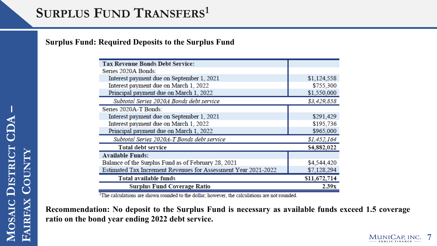#### **Surplus Fund: Required Deposits to the Surplus Fund**

| <b>Tax Revenue Bonds Debt Service:</b>                         |              |
|----------------------------------------------------------------|--------------|
| Series 2020A Bonds:                                            |              |
| Interest payment due on September 1, 2021                      | \$1,124,558  |
| Interest payment due on March 1, 2022                          | \$755,300    |
| Principal payment due on March 1, 2022                         | \$1,550,000  |
| Subtotal Series 2020A Bonds debt service                       | \$3,429,858  |
| Series 2020A-T Bonds:                                          |              |
| Interest payment due on September 1, 2021                      | \$291,429    |
| Interest payment due on March 1, 2022                          | \$195,736    |
| Principal payment due on March 1, 2022                         | \$965,000    |
| Subtotal Series 2020A-T Bonds debt service                     | \$1,452,164  |
| <b>Total debt service</b>                                      | \$4,882,022  |
| <b>Available Funds:</b>                                        |              |
| Balance of the Surplus Fund as of February 28, 2021            | \$4,544,420  |
| Estimated Tax Increment Revenues for Assessment Year 2021-2022 | \$7,128,294  |
| <b>Total available funds</b>                                   | \$11,672,714 |
| <b>Surplus Fund Coverage Ratio</b>                             | 2.39x        |

<sup>1</sup>The calculations are shown rounded to the dollar; however, the calculations are not rounded.

**Recommendation: No deposit to the Surplus Fund is necessary as available funds exceed 1.5 coverage ratio on the bond year ending 2022 debt service.**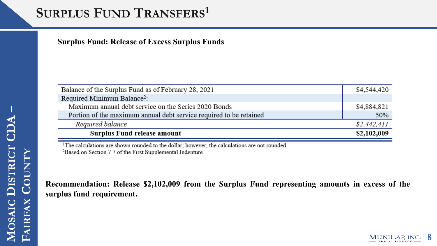# **SURPLUS FUND TRANSFERS<sup>1</sup>**

**Surplus Fund: Release of Excess Surplus Funds**

| Balance of the Surplus Fund as of February 28, 2021                | \$4,544,420 |
|--------------------------------------------------------------------|-------------|
| Required Minimum Balance <sup>2</sup> :                            |             |
| Maximum annual debt service on the Series 2020 Bonds               | \$4,884,821 |
| Portion of the maximum annual debt service required to be retained | 50%         |
| Required balance                                                   | \$2,442,411 |
| Surplus Fund release amount                                        | \$2,102,009 |

<sup>1</sup>The calculations are shown rounded to the dollar; however, the calculations are not rounded. <sup>2</sup>Based on Section 7.7 of the First Supplemental Indenture.

**Recommendation: Release \$2,102,009 from the Surplus Fund representing amounts in excess of the surplus fund requirement.**

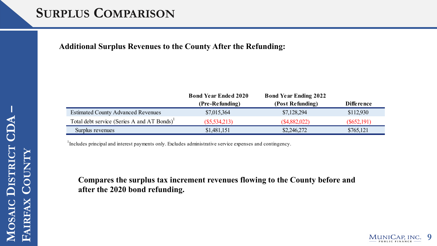### **SURPLUS COMPARISON**

**Additional Surplus Revenues to the County After the Refunding:**

|                                                         | <b>Bond Year Ended 2020</b> | <b>Bond Year Ending 2022</b> |                   |
|---------------------------------------------------------|-----------------------------|------------------------------|-------------------|
|                                                         | (Pre-Refunding)             | (Post Refunding)             | <b>Difference</b> |
| <b>Estimated County Advanced Revenues</b>               | \$7,015,364                 | \$7,128,294                  | \$112,930         |
| Total debt service (Series A and AT Bonds) <sup>1</sup> | $(\$5,534,213)$             | (\$4,882,022)                | $(\$652,191)$     |
| Surplus revenues                                        | \$1,481,151                 | \$2,246,272                  | \$765,121         |

<sup>1</sup>Includes principal and interest payments only. Excludes administrative service expenses and contingency.

**Compares the surplus tax increment revenues flowing to the County before and after the 2020 bond refunding.**

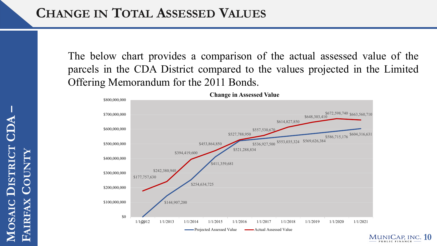The below chart provides a comparison of the actual assessed value of the parcels in the CDA District compared to the values projected in the Limited Offering Memorandum for the 2011 Bonds.



**DISTRICT CDA**  MOSAIC DISTRICT **COUNTY** FAIRFAX COUNT **FAIRFAX**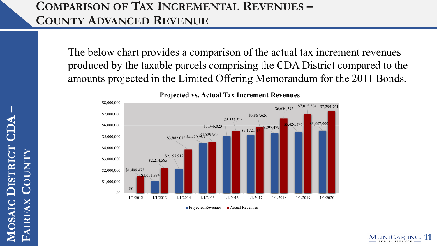### **COMPARISON OF TAX INCREMENTAL REVENUES – COUNTY ADVANCED REVENUE**

The below chart provides a comparison of the actual tax increment revenues produced by the taxable parcels comprising the CDA District compared to the amounts projected in the Limited Offering Memorandum for the 2011 Bonds.



**Projected vs. Actual Tax Increment Revenues**

 $\blacksquare$  Projected Revenues  $\blacksquare$  Actual Revenues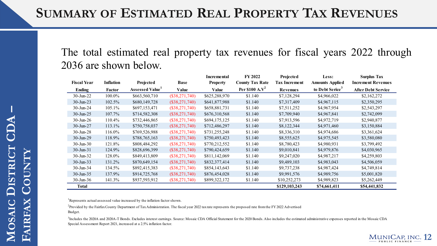The total estimated real property tax revenues for fiscal years 2022 through 2036 are shown below.

|                        |                  |                       |                  | Incremental     | <b>FY 2022</b>         | Projected            | Less:                       | <b>Surplus Tax</b>        |
|------------------------|------------------|-----------------------|------------------|-----------------|------------------------|----------------------|-----------------------------|---------------------------|
| <b>Fiscal Year</b>     | <b>Inflation</b> | Projected             | Base             | <b>Property</b> | <b>County Tax Rate</b> | <b>Tax Increment</b> | <b>Amounts Applied</b>      | <b>Increment Revenues</b> |
| <b>Ending</b>          | Factor           | <b>Assessed Value</b> | Value            | <b>Value</b>    | Per \$100 $A.V^2$      | <b>Revenues</b>      | to Debt Serice <sup>3</sup> | <b>After Debt Service</b> |
| $30 - \text{Jun} - 22$ | 100.0%           | \$663,560,710         | $(\$38,271,740)$ | \$625,288,970   | \$1.140                | \$7,128,294          | \$4,966,022                 | \$2,162,272               |
| $30 - Jun-23$          | 102.5%           | \$680,149,728         | $(\$38,271,740)$ | \$641,877,988   | \$1.140                | \$7,317,409          | \$4,967,115                 | \$2,350,295               |
| $30 - \text{Jun} - 24$ | 105.1%           | \$697,153,471         | $(\$38,271,740)$ | \$658,881,731   | \$1.140                | \$7,511,252          | \$4,967,954                 | \$2,543,297               |
| $30 - Jun-25$          | 107.7%           | \$714,582,308         | $(\$38,271,740)$ | \$676,310,568   | \$1.140                | \$7,709,940          | \$4,967,841                 | \$2,742,099               |
| $30$ -Jun-26           | 110.4%           | \$732,446,865         | $(\$38,271,740)$ | \$694,175,125   | \$1.140                | \$7,913,596          | \$4,972,719                 | \$2,940,877               |
| $30 - Jun-27$          | 113.1%           | \$750,758,037         | $(\$38,271,740)$ | \$712,486,297   | \$1.140                | \$8,122,344          | \$4,971,460                 | \$3,150,884               |
| $30$ -Jun-28           | 116.0%           | \$769,526,988         | $(\$38,271,740)$ | \$731,255,248   | \$1.140                | \$8,336,310          | \$4,974,686                 | \$3,361,624               |
| $30$ -Jun-29           | 118.9%           | \$788,765,163         | $(\$38,271,740)$ | \$750,493,423   | \$1.140                | \$8,555,625          | \$4,975,545                 | \$3,580,080               |
| $30 - \text{Jun} - 30$ | 121.8%           | \$808,484,292         | $(\$38,271,740)$ | \$770,212,552   | \$1.140                | \$8,780,423          | \$4,980,931                 | \$3,799,492               |
| $30$ -Jun- $31$        | 124.9%           | \$828,696,399         | $(\$38,271,740)$ | \$790,424,659   | \$1.140                | \$9,010,841          | \$4,979,876                 | \$4,030,965               |
| $30 - \text{Jun} - 32$ | 128.0%           | \$849,413,809         | $(\$38,271,740)$ | \$811,142,069   | \$1.140                | \$9,247,020          | \$4,987,217                 | \$4,259,803               |
| $30 - \text{Jun} - 33$ | 131.2%           | \$870,649,154         | $(\$38,271,740)$ | \$832,377,414   | \$1.140                | \$9,489,103          | \$4,983,043                 | \$4,506,059               |
| $30 - Jun-34$          | 134.5%           | \$892,415,383         | $(\$38,271,740)$ | \$854,143,643   | \$1.140                | \$9,737,238          | \$4,987,424                 | \$4,749,814               |
| $30$ -Jun-35           | 137.9%           | \$914,725,768         | $(\$38,271,740)$ | \$876,454,028   | \$1.140                | \$9,991,576          | \$4,989,756                 | \$5,001,820               |
| $30$ -Jun- $36$        | 141.3%           | \$937,593,912         | $(\$38,271,740)$ | \$899,322,172   | \$1.140                | \$10,252,273         | \$4,989,823                 | \$5,262,449               |
| Total                  |                  |                       |                  |                 |                        | \$129,103,243        | \$74,661,411                | \$54,441,832              |

<sup>1</sup>Represents actual assessed value increased by the inflation factor shown.

 $^2$ Provided by the Fairfax County Department of Tax Administration. The fiscal year 2022 tax rate represents the proposed rate from the FY 2022 Advertised Budget.

 $^3$ Includes the 2020A and 2020A-T Bonds. Excludes interest earnings. Source: Mosaic CDA Official Statement for the 2020 Bonds. Also includes the estimated administrative expenses reported in the Mosaic CDA Special Assessment Report 2021, increased at a 2.5% inflation factor.

**MUNICAP, INC. 12**